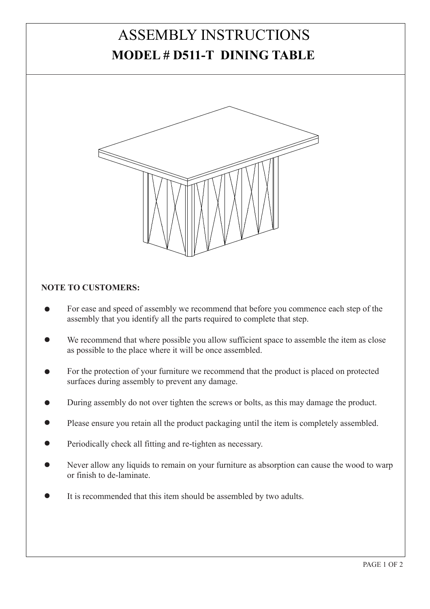## ASSEMBLY INSTRUCTIONS **MODEL # D511-T DINING TABLE**



## **NOTE TO CUSTOMERS:**

- For ease and speed of assembly we recommend that before you commence each step of the assembly that you identify all the parts required to complete that step.
- We recommend that where possible you allow sufficient space to assemble the item as close as possible to the place where it will be once assembled.
- For the protection of your furniture we recommend that the product is placed on protected surfaces during assembly to prevent any damage.
- During assembly do not over tighten the screws or bolts, as this may damage the product.
- Please ensure you retain all the product packaging until the item is completely assembled.
- Periodically check all fitting and re-tighten as necessary.
- Never allow any liquids to remain on your furniture as absorption can cause the wood to warp or finish to de-laminate.
- It is recommended that this item should be assembled by two adults.